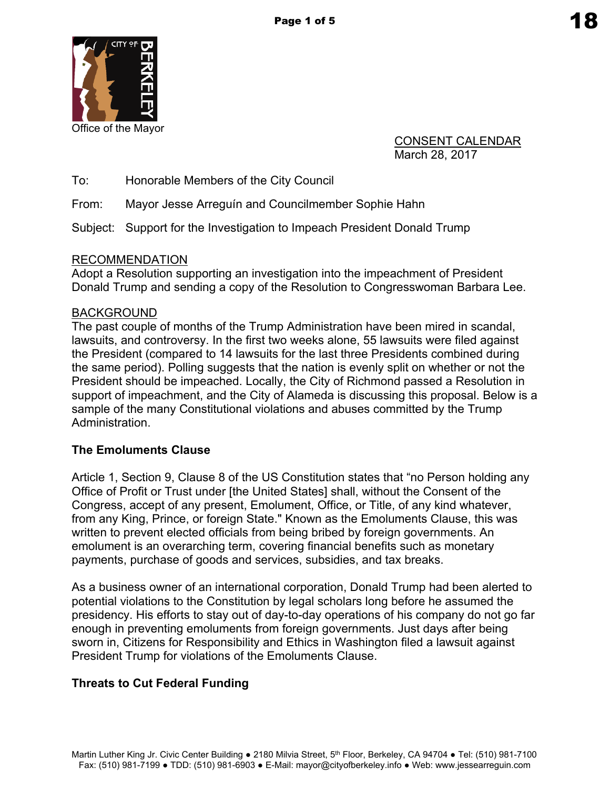

CONSENT CALENDAR March 28, 2017

To: Honorable Members of the City Council

From: Mayor Jesse Arreguín and Councilmember Sophie Hahn

Subject: Support for the Investigation to Impeach President Donald Trump

### RECOMMENDATION

Adopt a Resolution supporting an investigation into the impeachment of President Donald Trump and sending a copy of the Resolution to Congresswoman Barbara Lee.

## BACKGROUND

The past couple of months of the Trump Administration have been mired in scandal, lawsuits, and controversy. In the first two weeks alone, 55 lawsuits were filed against the President (compared to 14 lawsuits for the last three Presidents combined during the same period). Polling suggests that the nation is evenly split on whether or not the President should be impeached. Locally, the City of Richmond passed a Resolution in support of impeachment, and the City of Alameda is discussing this proposal. Below is a sample of the many Constitutional violations and abuses committed by the Trump Administration.

# **The Emoluments Clause**

Article 1, Section 9, Clause 8 of the US Constitution states that "no Person holding any Office of Profit or Trust under [the United States] shall, without the Consent of the Congress, accept of any present, Emolument, Office, or Title, of any kind whatever, from any King, Prince, or foreign State." Known as the Emoluments Clause, this was written to prevent elected officials from being bribed by foreign governments. An emolument is an overarching term, covering financial benefits such as monetary payments, purchase of goods and services, subsidies, and tax breaks.

As a business owner of an international corporation, Donald Trump had been alerted to potential violations to the Constitution by legal scholars long before he assumed the presidency. His efforts to stay out of day-to-day operations of his company do not go far enough in preventing emoluments from foreign governments. Just days after being sworn in, Citizens for Responsibility and Ethics in Washington filed a lawsuit against President Trump for violations of the Emoluments Clause.

# **Threats to Cut Federal Funding**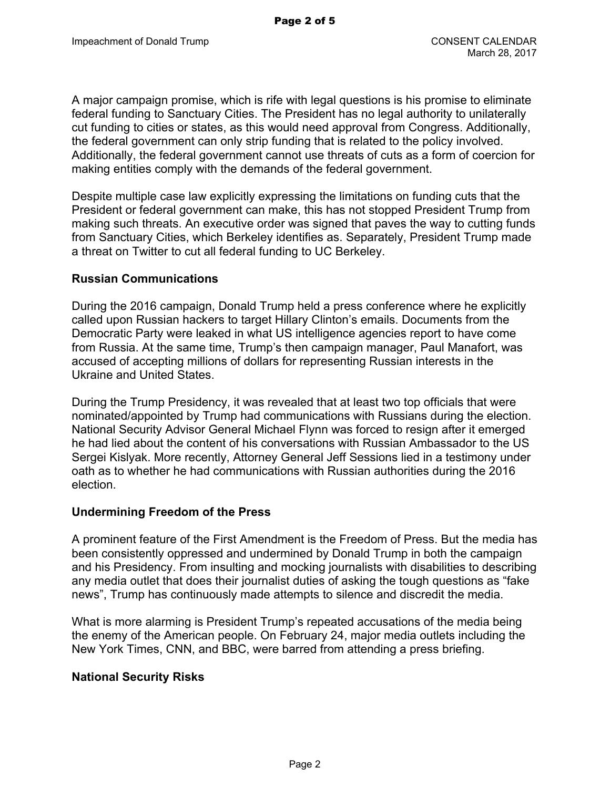A major campaign promise, which is rife with legal questions is his promise to eliminate federal funding to Sanctuary Cities. The President has no legal authority to unilaterally cut funding to cities or states, as this would need approval from Congress. Additionally, the federal government can only strip funding that is related to the policy involved. Additionally, the federal government cannot use threats of cuts as a form of coercion for making entities comply with the demands of the federal government.

Despite multiple case law explicitly expressing the limitations on funding cuts that the President or federal government can make, this has not stopped President Trump from making such threats. An executive order was signed that paves the way to cutting funds from Sanctuary Cities, which Berkeley identifies as. Separately, President Trump made a threat on Twitter to cut all federal funding to UC Berkeley.

### **Russian Communications**

During the 2016 campaign, Donald Trump held a press conference where he explicitly called upon Russian hackers to target Hillary Clinton's emails. Documents from the Democratic Party were leaked in what US intelligence agencies report to have come from Russia. At the same time, Trump's then campaign manager, Paul Manafort, was accused of accepting millions of dollars for representing Russian interests in the Ukraine and United States.

During the Trump Presidency, it was revealed that at least two top officials that were nominated/appointed by Trump had communications with Russians during the election. National Security Advisor General Michael Flynn was forced to resign after it emerged he had lied about the content of his conversations with Russian Ambassador to the US Sergei Kislyak. More recently, Attorney General Jeff Sessions lied in a testimony under oath as to whether he had communications with Russian authorities during the 2016 election.

### **Undermining Freedom of the Press**

A prominent feature of the First Amendment is the Freedom of Press. But the media has been consistently oppressed and undermined by Donald Trump in both the campaign and his Presidency. From insulting and mocking journalists with disabilities to describing any media outlet that does their journalist duties of asking the tough questions as "fake news", Trump has continuously made attempts to silence and discredit the media.

What is more alarming is President Trump's repeated accusations of the media being the enemy of the American people. On February 24, major media outlets including the New York Times, CNN, and BBC, were barred from attending a press briefing.

### **National Security Risks**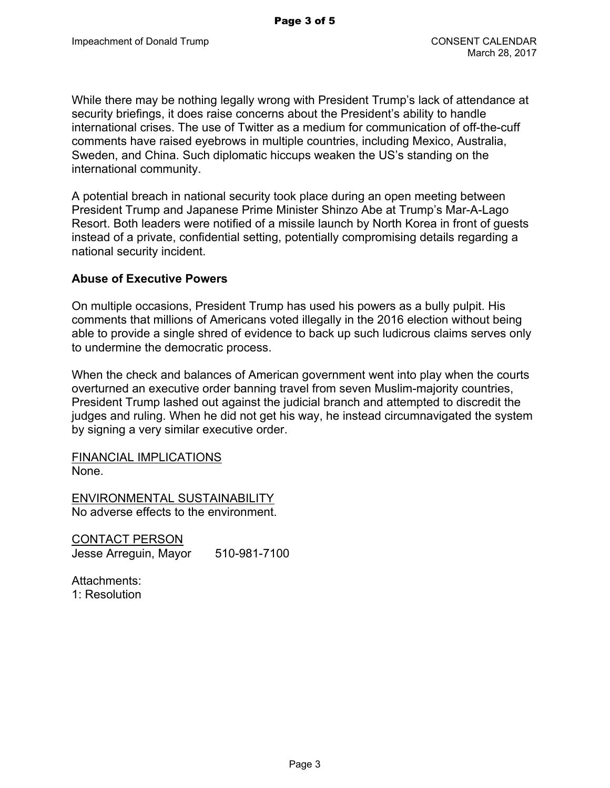While there may be nothing legally wrong with President Trump's lack of attendance at security briefings, it does raise concerns about the President's ability to handle international crises. The use of Twitter as a medium for communication of off-the-cuff comments have raised eyebrows in multiple countries, including Mexico, Australia, Sweden, and China. Such diplomatic hiccups weaken the US's standing on the international community.

A potential breach in national security took place during an open meeting between President Trump and Japanese Prime Minister Shinzo Abe at Trump's Mar-A-Lago Resort. Both leaders were notified of a missile launch by North Korea in front of guests instead of a private, confidential setting, potentially compromising details regarding a national security incident.

#### **Abuse of Executive Powers**

On multiple occasions, President Trump has used his powers as a bully pulpit. His comments that millions of Americans voted illegally in the 2016 election without being able to provide a single shred of evidence to back up such ludicrous claims serves only to undermine the democratic process.

When the check and balances of American government went into play when the courts overturned an executive order banning travel from seven Muslim-majority countries, President Trump lashed out against the judicial branch and attempted to discredit the judges and ruling. When he did not get his way, he instead circumnavigated the system by signing a very similar executive order.

FINANCIAL IMPLICATIONS None.

ENVIRONMENTAL SUSTAINABILITY No adverse effects to the environment.

CONTACT PERSON Jesse Arreguin, Mayor 510-981-7100

Attachments: 1: Resolution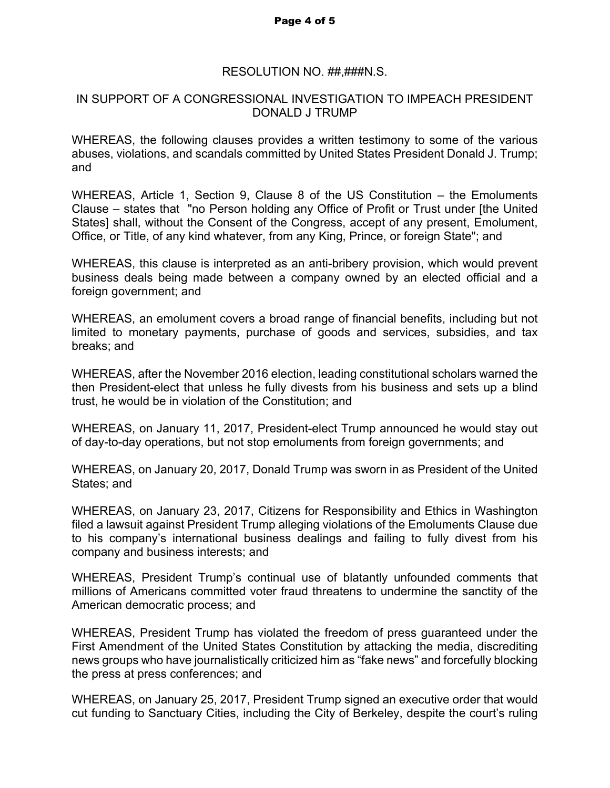#### RESOLUTION NO. ##,###N.S.

### IN SUPPORT OF A CONGRESSIONAL INVESTIGATION TO IMPEACH PRESIDENT DONALD J TRUMP

WHEREAS, the following clauses provides a written testimony to some of the various abuses, violations, and scandals committed by United States President Donald J. Trump; and

WHEREAS, Article 1, Section 9, Clause 8 of the US Constitution – the Emoluments Clause – states that "no Person holding any Office of Profit or Trust under [the United States] shall, without the Consent of the Congress, accept of any present, Emolument, Office, or Title, of any kind whatever, from any King, Prince, or foreign State"; and

WHEREAS, this clause is interpreted as an anti-bribery provision, which would prevent business deals being made between a company owned by an elected official and a foreign government; and

WHEREAS, an emolument covers a broad range of financial benefits, including but not limited to monetary payments, purchase of goods and services, subsidies, and tax breaks; and

WHEREAS, after the November 2016 election, leading constitutional scholars warned the then President-elect that unless he fully divests from his business and sets up a blind trust, he would be in violation of the Constitution; and

WHEREAS, on January 11, 2017, President-elect Trump announced he would stay out of day-to-day operations, but not stop emoluments from foreign governments; and

WHEREAS, on January 20, 2017, Donald Trump was sworn in as President of the United States; and

WHEREAS, on January 23, 2017, Citizens for Responsibility and Ethics in Washington filed a lawsuit against President Trump alleging violations of the Emoluments Clause due to his company's international business dealings and failing to fully divest from his company and business interests; and

WHEREAS, President Trump's continual use of blatantly unfounded comments that millions of Americans committed voter fraud threatens to undermine the sanctity of the American democratic process; and

WHEREAS, President Trump has violated the freedom of press guaranteed under the First Amendment of the United States Constitution by attacking the media, discrediting news groups who have journalistically criticized him as "fake news" and forcefully blocking the press at press conferences; and

WHEREAS, on January 25, 2017, President Trump signed an executive order that would cut funding to Sanctuary Cities, including the City of Berkeley, despite the court's ruling